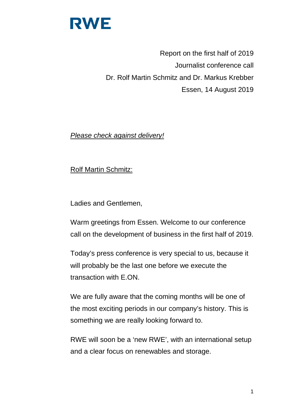

Report on the first half of 2019 Journalist conference call Dr. Rolf Martin Schmitz and Dr. Markus Krebber Essen, 14 August 2019

*Please check against delivery!*

Rolf Martin Schmitz:

Ladies and Gentlemen,

Warm greetings from Essen. Welcome to our conference call on the development of business in the first half of 2019.

Today's press conference is very special to us, because it will probably be the last one before we execute the transaction with E.ON.

We are fully aware that the coming months will be one of the most exciting periods in our company's history. This is something we are really looking forward to.

RWE will soon be a 'new RWE', with an international setup and a clear focus on renewables and storage.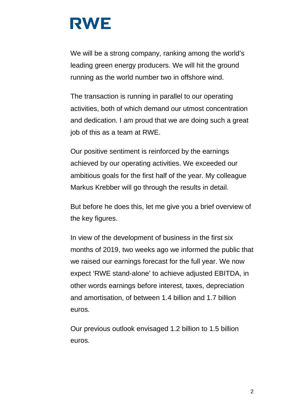We will be a strong company, ranking among the world's leading green energy producers. We will hit the ground running as the world number two in offshore wind.

The transaction is running in parallel to our operating activities, both of which demand our utmost concentration and dedication. I am proud that we are doing such a great job of this as a team at RWE.

Our positive sentiment is reinforced by the earnings achieved by our operating activities. We exceeded our ambitious goals for the first half of the year. My colleague Markus Krebber will go through the results in detail.

But before he does this, let me give you a brief overview of the key figures.

In view of the development of business in the first six months of 2019, two weeks ago we informed the public that we raised our earnings forecast for the full year. We now expect 'RWE stand-alone' to achieve adjusted EBITDA, in other words earnings before interest, taxes, depreciation and amortisation, of between 1.4 billion and 1.7 billion euros.

Our previous outlook envisaged 1.2 billion to 1.5 billion euros.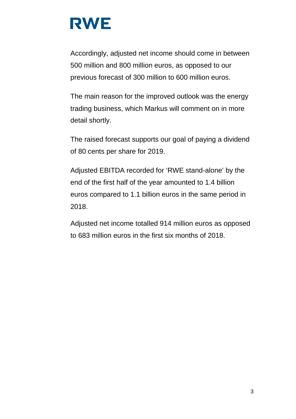Accordingly, adjusted net income should come in between 500 million and 800 million euros, as opposed to our previous forecast of 300 million to 600 million euros.

The main reason for the improved outlook was the energy trading business, which Markus will comment on in more detail shortly.

The raised forecast supports our goal of paying a dividend of 80 cents per share for 2019.

Adjusted EBITDA recorded for 'RWE stand-alone' by the end of the first half of the year amounted to 1.4 billion euros compared to 1.1 billion euros in the same period in 2018.

Adjusted net income totalled 914 million euros as opposed to 683 million euros in the first six months of 2018.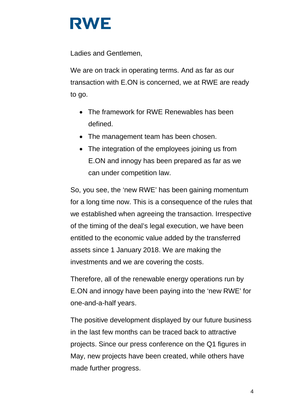

Ladies and Gentlemen,

We are on track in operating terms. And as far as our transaction with E.ON is concerned, we at RWE are ready to go.

- The framework for RWE Renewables has been defined.
- The management team has been chosen.
- The integration of the employees joining us from E.ON and innogy has been prepared as far as we can under competition law.

So, you see, the 'new RWE' has been gaining momentum for a long time now. This is a consequence of the rules that we established when agreeing the transaction. Irrespective of the timing of the deal's legal execution, we have been entitled to the economic value added by the transferred assets since 1 January 2018. We are making the investments and we are covering the costs.

Therefore, all of the renewable energy operations run by E.ON and innogy have been paying into the 'new RWE' for one-and-a-half years.

The positive development displayed by our future business in the last few months can be traced back to attractive projects. Since our press conference on the Q1 figures in May, new projects have been created, while others have made further progress.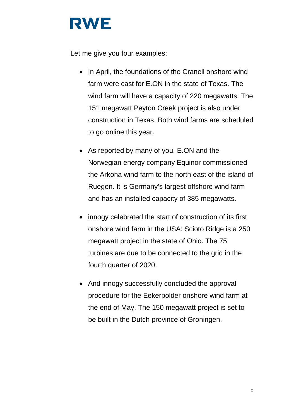Let me give you four examples:

- In April, the foundations of the Cranell onshore wind farm were cast for E.ON in the state of Texas. The wind farm will have a capacity of 220 megawatts. The 151 megawatt Peyton Creek project is also under construction in Texas. Both wind farms are scheduled to go online this year.
- As reported by many of you, E.ON and the Norwegian energy company Equinor commissioned the Arkona wind farm to the north east of the island of Ruegen. It is Germany's largest offshore wind farm and has an installed capacity of 385 megawatts.
- innogy celebrated the start of construction of its first onshore wind farm in the USA: Scioto Ridge is a 250 megawatt project in the state of Ohio. The 75 turbines are due to be connected to the grid in the fourth quarter of 2020.
- And innogy successfully concluded the approval procedure for the Eekerpolder onshore wind farm at the end of May. The 150 megawatt project is set to be built in the Dutch province of Groningen.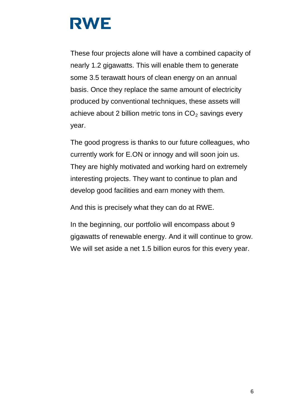These four projects alone will have a combined capacity of nearly 1.2 gigawatts. This will enable them to generate some 3.5 terawatt hours of clean energy on an annual basis. Once they replace the same amount of electricity produced by conventional techniques, these assets will achieve about 2 billion metric tons in  $CO<sub>2</sub>$  savings every year.

The good progress is thanks to our future colleagues, who currently work for E.ON or innogy and will soon join us. They are highly motivated and working hard on extremely interesting projects. They want to continue to plan and develop good facilities and earn money with them.

And this is precisely what they can do at RWE.

In the beginning, our portfolio will encompass about 9 gigawatts of renewable energy. And it will continue to grow. We will set aside a net 1.5 billion euros for this every year.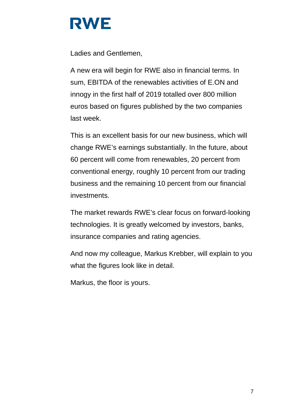Ladies and Gentlemen,

A new era will begin for RWE also in financial terms. In sum, EBITDA of the renewables activities of E.ON and innogy in the first half of 2019 totalled over 800 million euros based on figures published by the two companies last week.

This is an excellent basis for our new business, which will change RWE's earnings substantially. In the future, about 60 percent will come from renewables, 20 percent from conventional energy, roughly 10 percent from our trading business and the remaining 10 percent from our financial investments.

The market rewards RWE's clear focus on forward-looking technologies. It is greatly welcomed by investors, banks, insurance companies and rating agencies.

And now my colleague, Markus Krebber, will explain to you what the figures look like in detail.

Markus, the floor is yours.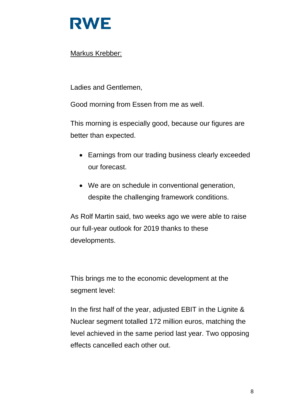

### Markus Krebber:

Ladies and Gentlemen,

Good morning from Essen from me as well.

This morning is especially good, because our figures are better than expected.

- Earnings from our trading business clearly exceeded our forecast.
- We are on schedule in conventional generation, despite the challenging framework conditions.

As Rolf Martin said, two weeks ago we were able to raise our full-year outlook for 2019 thanks to these developments.

This brings me to the economic development at the segment level:

In the first half of the year, adjusted EBIT in the Lignite & Nuclear segment totalled 172 million euros, matching the level achieved in the same period last year. Two opposing effects cancelled each other out.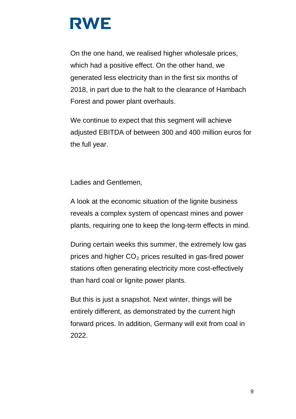On the one hand, we realised higher wholesale prices, which had a positive effect. On the other hand, we generated less electricity than in the first six months of 2018, in part due to the halt to the clearance of Hambach Forest and power plant overhauls.

We continue to expect that this segment will achieve adjusted EBITDA of between 300 and 400 million euros for the full year.

Ladies and Gentlemen,

A look at the economic situation of the lignite business reveals a complex system of opencast mines and power plants, requiring one to keep the long-term effects in mind.

During certain weeks this summer, the extremely low gas prices and higher  $CO<sub>2</sub>$  prices resulted in gas-fired power stations often generating electricity more cost-effectively than hard coal or lignite power plants.

But this is just a snapshot. Next winter, things will be entirely different, as demonstrated by the current high forward prices. In addition, Germany will exit from coal in 2022.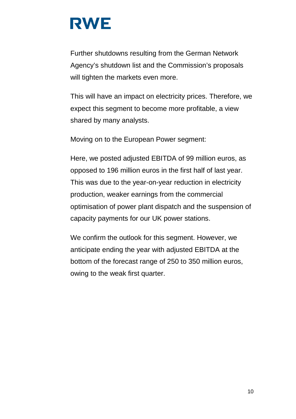Further shutdowns resulting from the German Network Agency's shutdown list and the Commission's proposals will tighten the markets even more.

This will have an impact on electricity prices. Therefore, we expect this segment to become more profitable, a view shared by many analysts.

Moving on to the European Power segment:

Here, we posted adjusted EBITDA of 99 million euros, as opposed to 196 million euros in the first half of last year. This was due to the year-on-year reduction in electricity production, weaker earnings from the commercial optimisation of power plant dispatch and the suspension of capacity payments for our UK power stations.

We confirm the outlook for this segment. However, we anticipate ending the year with adjusted EBITDA at the bottom of the forecast range of 250 to 350 million euros, owing to the weak first quarter.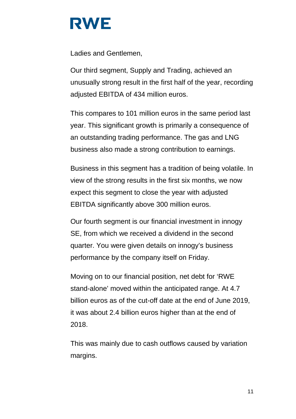Ladies and Gentlemen,

Our third segment, Supply and Trading, achieved an unusually strong result in the first half of the year, recording adjusted EBITDA of 434 million euros.

This compares to 101 million euros in the same period last year. This significant growth is primarily a consequence of an outstanding trading performance. The gas and LNG business also made a strong contribution to earnings.

Business in this segment has a tradition of being volatile. In view of the strong results in the first six months, we now expect this segment to close the year with adjusted EBITDA significantly above 300 million euros.

Our fourth segment is our financial investment in innogy SE, from which we received a dividend in the second quarter. You were given details on innogy's business performance by the company itself on Friday.

Moving on to our financial position, net debt for 'RWE stand-alone' moved within the anticipated range. At 4.7 billion euros as of the cut-off date at the end of June 2019, it was about 2.4 billion euros higher than at the end of 2018.

This was mainly due to cash outflows caused by variation margins.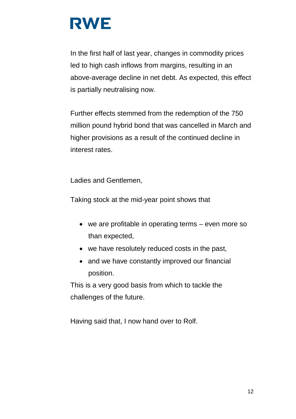In the first half of last year, changes in commodity prices led to high cash inflows from margins, resulting in an above-average decline in net debt. As expected, this effect is partially neutralising now.

Further effects stemmed from the redemption of the 750 million pound hybrid bond that was cancelled in March and higher provisions as a result of the continued decline in interest rates.

Ladies and Gentlemen,

Taking stock at the mid-year point shows that

- we are profitable in operating terms even more so than expected,
- we have resolutely reduced costs in the past,
- and we have constantly improved our financial position.

This is a very good basis from which to tackle the challenges of the future.

Having said that, I now hand over to Rolf.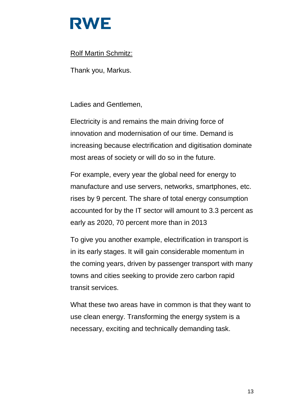

#### Rolf Martin Schmitz:

Thank you, Markus.

Ladies and Gentlemen,

Electricity is and remains the main driving force of innovation and modernisation of our time. Demand is increasing because electrification and digitisation dominate most areas of society or will do so in the future.

For example, every year the global need for energy to manufacture and use servers, networks, smartphones, etc. rises by 9 percent. The share of total energy consumption accounted for by the IT sector will amount to 3.3 percent as early as 2020, 70 percent more than in 2013

To give you another example, electrification in transport is in its early stages. It will gain considerable momentum in the coming years, driven by passenger transport with many towns and cities seeking to provide zero carbon rapid transit services.

What these two areas have in common is that they want to use clean energy. Transforming the energy system is a necessary, exciting and technically demanding task.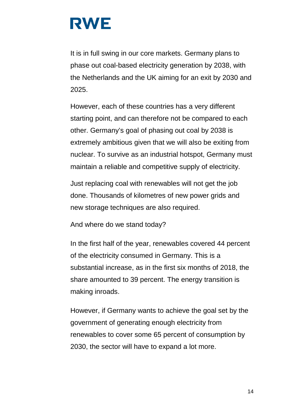It is in full swing in our core markets. Germany plans to phase out coal-based electricity generation by 2038, with the Netherlands and the UK aiming for an exit by 2030 and 2025.

However, each of these countries has a very different starting point, and can therefore not be compared to each other. Germany's goal of phasing out coal by 2038 is extremely ambitious given that we will also be exiting from nuclear. To survive as an industrial hotspot, Germany must maintain a reliable and competitive supply of electricity.

Just replacing coal with renewables will not get the job done. Thousands of kilometres of new power grids and new storage techniques are also required.

And where do we stand today?

In the first half of the year, renewables covered 44 percent of the electricity consumed in Germany. This is a substantial increase, as in the first six months of 2018, the share amounted to 39 percent. The energy transition is making inroads.

However, if Germany wants to achieve the goal set by the government of generating enough electricity from renewables to cover some 65 percent of consumption by 2030, the sector will have to expand a lot more.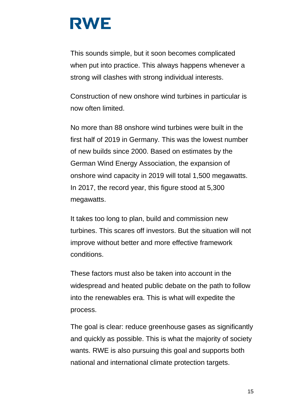This sounds simple, but it soon becomes complicated when put into practice. This always happens whenever a strong will clashes with strong individual interests.

Construction of new onshore wind turbines in particular is now often limited.

No more than 88 onshore wind turbines were built in the first half of 2019 in Germany. This was the lowest number of new builds since 2000. Based on estimates by the German Wind Energy Association, the expansion of onshore wind capacity in 2019 will total 1,500 megawatts. In 2017, the record year, this figure stood at 5,300 megawatts.

It takes too long to plan, build and commission new turbines. This scares off investors. But the situation will not improve without better and more effective framework conditions.

These factors must also be taken into account in the widespread and heated public debate on the path to follow into the renewables era. This is what will expedite the process.

The goal is clear: reduce greenhouse gases as significantly and quickly as possible. This is what the majority of society wants. RWE is also pursuing this goal and supports both national and international climate protection targets.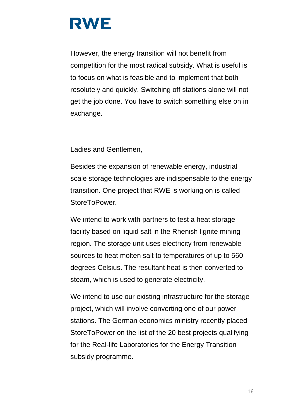However, the energy transition will not benefit from competition for the most radical subsidy. What is useful is to focus on what is feasible and to implement that both resolutely and quickly. Switching off stations alone will not get the job done. You have to switch something else on in exchange.

Ladies and Gentlemen,

Besides the expansion of renewable energy, industrial scale storage technologies are indispensable to the energy transition. One project that RWE is working on is called StoreToPower.

We intend to work with partners to test a heat storage facility based on liquid salt in the Rhenish lignite mining region. The storage unit uses electricity from renewable sources to heat molten salt to temperatures of up to 560 degrees Celsius. The resultant heat is then converted to steam, which is used to generate electricity.

We intend to use our existing infrastructure for the storage project, which will involve converting one of our power stations. The German economics ministry recently placed StoreToPower on the list of the 20 best projects qualifying for the Real-life Laboratories for the Energy Transition subsidy programme.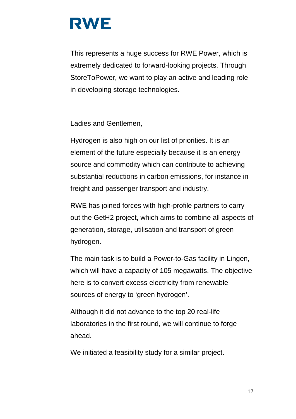This represents a huge success for RWE Power, which is extremely dedicated to forward-looking projects. Through StoreToPower, we want to play an active and leading role in developing storage technologies.

Ladies and Gentlemen,

Hydrogen is also high on our list of priorities. It is an element of the future especially because it is an energy source and commodity which can contribute to achieving substantial reductions in carbon emissions, for instance in freight and passenger transport and industry.

RWE has joined forces with high-profile partners to carry out the GetH2 project, which aims to combine all aspects of generation, storage, utilisation and transport of green hydrogen.

The main task is to build a Power-to-Gas facility in Lingen, which will have a capacity of 105 megawatts. The objective here is to convert excess electricity from renewable sources of energy to 'green hydrogen'.

Although it did not advance to the top 20 real-life laboratories in the first round, we will continue to forge ahead.

We initiated a feasibility study for a similar project.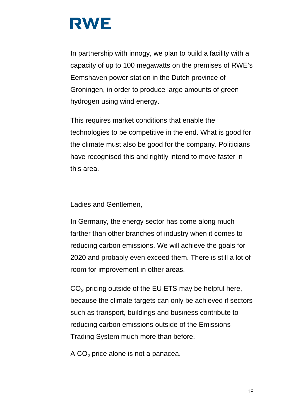In partnership with innogy, we plan to build a facility with a capacity of up to 100 megawatts on the premises of RWE's Eemshaven power station in the Dutch province of Groningen, in order to produce large amounts of green hydrogen using wind energy.

This requires market conditions that enable the technologies to be competitive in the end. What is good for the climate must also be good for the company. Politicians have recognised this and rightly intend to move faster in this area.

Ladies and Gentlemen,

In Germany, the energy sector has come along much farther than other branches of industry when it comes to reducing carbon emissions. We will achieve the goals for 2020 and probably even exceed them. There is still a lot of room for improvement in other areas.

 $CO<sub>2</sub>$  pricing outside of the EU ETS may be helpful here, because the climate targets can only be achieved if sectors such as transport, buildings and business contribute to reducing carbon emissions outside of the Emissions Trading System much more than before.

A  $CO<sub>2</sub>$  price alone is not a panacea.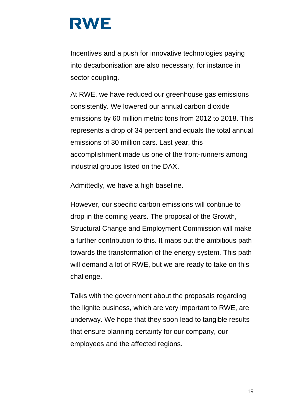Incentives and a push for innovative technologies paying into decarbonisation are also necessary, for instance in sector coupling.

At RWE, we have reduced our greenhouse gas emissions consistently. We lowered our annual carbon dioxide emissions by 60 million metric tons from 2012 to 2018. This represents a drop of 34 percent and equals the total annual emissions of 30 million cars. Last year, this accomplishment made us one of the front-runners among industrial groups listed on the DAX.

Admittedly, we have a high baseline.

However, our specific carbon emissions will continue to drop in the coming years. The proposal of the Growth, Structural Change and Employment Commission will make a further contribution to this. It maps out the ambitious path towards the transformation of the energy system. This path will demand a lot of RWE, but we are ready to take on this challenge.

Talks with the government about the proposals regarding the lignite business, which are very important to RWE, are underway. We hope that they soon lead to tangible results that ensure planning certainty for our company, our employees and the affected regions.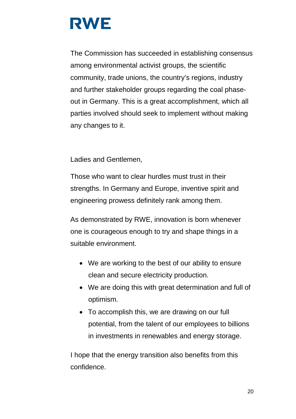The Commission has succeeded in establishing consensus among environmental activist groups, the scientific community, trade unions, the country's regions, industry and further stakeholder groups regarding the coal phaseout in Germany. This is a great accomplishment, which all parties involved should seek to implement without making any changes to it.

Ladies and Gentlemen,

Those who want to clear hurdles must trust in their strengths. In Germany and Europe, inventive spirit and engineering prowess definitely rank among them.

As demonstrated by RWE, innovation is born whenever one is courageous enough to try and shape things in a suitable environment.

- We are working to the best of our ability to ensure clean and secure electricity production.
- We are doing this with great determination and full of optimism.
- To accomplish this, we are drawing on our full potential, from the talent of our employees to billions in investments in renewables and energy storage.

I hope that the energy transition also benefits from this confidence.